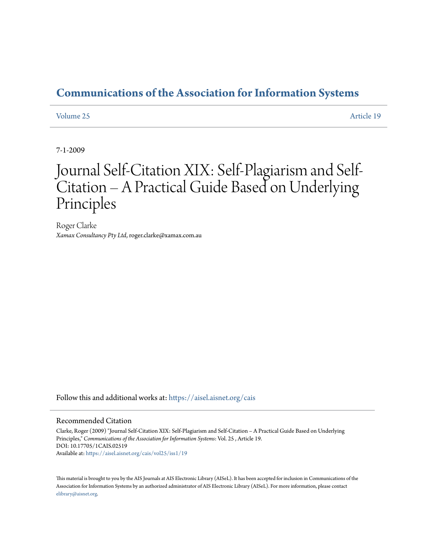# **[Communications of the Association for Information Systems](https://aisel.aisnet.org/cais?utm_source=aisel.aisnet.org%2Fcais%2Fvol25%2Fiss1%2F19&utm_medium=PDF&utm_campaign=PDFCoverPages)**

### [Volume 25](https://aisel.aisnet.org/cais/vol25?utm_source=aisel.aisnet.org%2Fcais%2Fvol25%2Fiss1%2F19&utm_medium=PDF&utm_campaign=PDFCoverPages) [Article 19](https://aisel.aisnet.org/cais/vol25/iss1/19?utm_source=aisel.aisnet.org%2Fcais%2Fvol25%2Fiss1%2F19&utm_medium=PDF&utm_campaign=PDFCoverPages)

7-1-2009

# Journal Self-Citation XIX: Self-Plagiarism and Self-Citation – A Practical Guide Based on Underlying Principles

Roger Clarke *Xamax Consultancy Pty Ltd*, roger.clarke@xamax.com.au

Follow this and additional works at: [https://aisel.aisnet.org/cais](https://aisel.aisnet.org/cais?utm_source=aisel.aisnet.org%2Fcais%2Fvol25%2Fiss1%2F19&utm_medium=PDF&utm_campaign=PDFCoverPages)

### Recommended Citation

Clarke, Roger (2009) "Journal Self-Citation XIX: Self-Plagiarism and Self-Citation – A Practical Guide Based on Underlying Principles," *Communications of the Association for Information Systems*: Vol. 25 , Article 19. DOI: 10.17705/1CAIS.02519 Available at: [https://aisel.aisnet.org/cais/vol25/iss1/19](https://aisel.aisnet.org/cais/vol25/iss1/19?utm_source=aisel.aisnet.org%2Fcais%2Fvol25%2Fiss1%2F19&utm_medium=PDF&utm_campaign=PDFCoverPages)

This material is brought to you by the AIS Journals at AIS Electronic Library (AISeL). It has been accepted for inclusion in Communications of the Association for Information Systems by an authorized administrator of AIS Electronic Library (AISeL). For more information, please contact [elibrary@aisnet.org.](mailto:elibrary@aisnet.org%3E)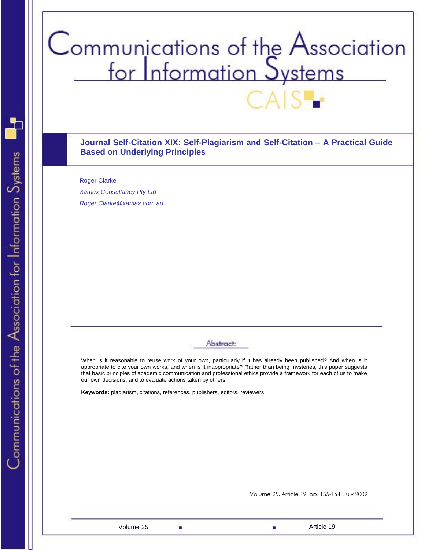# Communications of the Association<br>for Information Systems

**Journal Self-Citation XIX: Self-Plagiarism and Self-Citation – A Practical Guide Based on Underlying Principles** 

Roger Clarke *[Xamax Consultancy Pty Ltd](http://www.xamax.com.au/) Roger.Clarke@xamax.com.au*

# Abstract:

When is it reasonable to reuse work of your own, particularly if it has already been published? And when is it appropriate to cite your own works, and when is it inappropriate? Rather than being mysteries, this paper suggests that basic principles of academic communication and professional ethics provide a framework for each of us to make our own decisions, and to evaluate actions taken by others.

**Keywords:** plagiarism**,** citations, references, publishers, editors, reviewers

Volume 25, Article 19, pp. 155-164, July 2009

Communications of the Association for Information Systems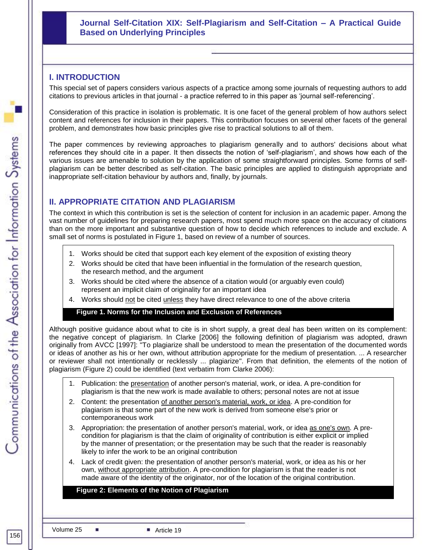# **Journal Self-Citation XIX: Self-Plagiarism and Self-Citation – A Practical Guide Based on Underlying Principles**

# **I. INTRODUCTION**

This special set of papers considers various aspects of a practice among some journals of requesting authors to add citations to previous articles in that journal - a practice referred to in this paper as "journal self-referencing".

Consideration of this practice in isolation is problematic. It is one facet of the general problem of how authors select content and references for inclusion in their papers. This contribution focuses on several other facets of the general problem, and demonstrates how basic principles give rise to practical solutions to all of them.

The paper commences by reviewing approaches to plagiarism generally and to authors' decisions about what references they should cite in a paper. It then dissects the notion of "self-plagiarism", and shows how each of the various issues are amenable to solution by the application of some straightforward principles. Some forms of selfplagiarism can be better described as self-citation. The basic principles are applied to distinguish appropriate and inappropriate self-citation behaviour by authors and, finally, by journals.

# **II. APPROPRIATE CITATION AND PLAGIARISM**

The context in which this contribution is set is the selection of content for inclusion in an academic paper. Among the vast number of guidelines for preparing research papers, most spend much more space on the accuracy of citations than on the more important and substantive question of how to decide which references to include and exclude. A small set of norms is postulated in Figure 1, based on review of a number of sources.

- 1. Works should be cited that support each key element of the exposition of existing theory
- 2. Works should be cited that have been influential in the formulation of the research question, the research method, and the argument
- 3. Works should be cited where the absence of a citation would (or arguably even could) represent an implicit claim of originality for an important idea
- 4. Works should not be cited unless they have direct relevance to one of the above criteria

### **Figure 1. Norms for the Inclusion and Exclusion of References**

Although positive guidance about what to cite is in short supply, a great deal has been written on its complement: the negative concept of plagiarism. In Clarke [2006] the following definition of plagiarism was adopted, drawn originally from AVCC [1997]: "To plagiarize shall be understood to mean the presentation of the documented words or ideas of another as his or her own, without attribution appropriate for the medium of presentation. ... A researcher or reviewer shall not intentionally or recklessly ... plagiarize". From that definition, the elements of the notion of plagiarism (Figure 2) could be identified (text verbatim from Clarke 2006):

- 1. Publication: the presentation of another person's material, work, or idea. A pre-condition for plagiarism is that the new work is made available to others; personal notes are not at issue
- 2. Content: the presentation of another person's material, work, or idea. A pre-condition for plagiarism is that some part of the new work is derived from someone else's prior or contemporaneous work
- 3. Appropriation: the presentation of another person's material, work, or idea as one's own. A precondition for plagiarism is that the claim of originality of contribution is either explicit or implied by the manner of presentation; or the presentation may be such that the reader is reasonably likely to infer the work to be an original contribution
- made aware of the identity of the originator, nor of the location of the original contribution. 4. Lack of credit given: the presentation of another person's material, work, or idea as his or her own, without appropriate attribution. A pre-condition for plagiarism is that the reader is not

# **Figure 2: Elements of the Notion of Plagiarism**

Volume 25 ■ Article 19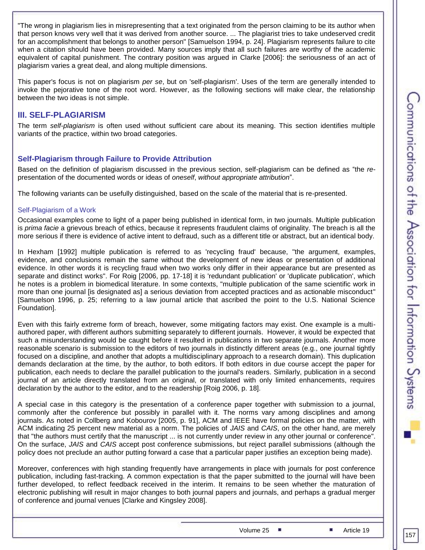"The wrong in plagiarism lies in misrepresenting that a text originated from the person claiming to be its author when that person knows very well that it was derived from another source. ... The plagiarist tries to take undeserved credit for an accomplishment that belongs to another person" [Samuelson 1994, p. 24]. Plagiarism represents failure to cite when a citation should have been provided. Many sources imply that all such failures are worthy of the academic equivalent of capital punishment. The contrary position was argued in Clarke [2006]: the seriousness of an act of plagiarism varies a great deal, and along multiple dimensions.

This paper's focus is not on plagiarism *per se*, but on 'self-plagiarism'. Uses of the term are generally intended to invoke the pejorative tone of the root word. However, as the following sections will make clear, the relationship between the two ideas is not simple.

# **III. SELF-PLAGIARISM**

The term *self-plagiarism* is often used without sufficient care about its meaning. This section identifies multiple variants of the practice, within two broad categories.

## **Self-Plagiarism through Failure to Provide Attribution**

Based on the definition of plagiarism discussed in the previous section, self-plagiarism can be defined as "the *re*presentation of the documented words or ideas of *oneself*, *without appropriate attribution*".

The following variants can be usefully distinguished, based on the scale of the material that is re-presented.

### Self-Plagiarism of a Work

Occasional examples come to light of a paper being published in identical form, in two journals. Multiple publication is *prima facie* a grievous breach of ethics, because it represents fraudulent claims of originality. The breach is all the more serious if there is evidence of active intent to defraud, such as a different title or abstract, but an identical body.

In Hexham [1992] multiple publication is referred to as 'recycling fraud' because, "the argument, examples, evidence, and conclusions remain the same without the development of new ideas or presentation of additional evidence. In other words it is recycling fraud when two works only differ in their appearance but are presented as separate and distinct works". For Roig [2006, pp. 17-18] it is 'redundant publication' or 'duplicate publication', which he notes is a problem in biomedical literature. In some contexts, "multiple publication of the same scientific work in more than one journal [is designated as] a serious deviation from accepted practices and as actionable misconduct" [Samuelson 1996, p. 25; referring to a law journal article that ascribed the point to the U.S. National Science Foundation].

Even with this fairly extreme form of breach, however, some mitigating factors may exist. One example is a multiauthored paper, with different authors submitting separately to different journals. However, it would be expected that such a misunderstanding would be caught before it resulted in publications in two separate journals. Another more reasonable scenario is submission to the editors of two journals in distinctly different areas (e.g., one journal tightly focused on a discipline, and another that adopts a multidisciplinary approach to a research domain). This duplication demands declaration at the time, by the author, to both editors. If both editors in due course accept the paper for publication, each needs to declare the parallel publication to the journal's readers. Similarly, publication in a second journal of an article directly translated from an original, or translated with only limited enhancements, requires declaration by the author to the editor, and to the readership [Roig 2006, p. 18].

A special case in this category is the presentation of a conference paper together with submission to a journal, commonly after the conference but possibly in parallel with it. The norms vary among disciplines and among journals. As noted in Collberg and Kobourov [2005, p. 91], ACM and IEEE have formal policies on the matter, with ACM indicating 25 percent new material as a norm. The policies of *JAIS* and *CAIS*, on the other hand, are merely that "the authors must certify that the manuscript ... is not currently under review in any other journal or conference". On the surface, *JAIS* and *CAIS* accept post conference submissions, but reject parallel submissions (although the policy does not preclude an author putting forward a case that a particular paper justifies an exception being made).

Moreover, conferences with high standing frequently have arrangements in place with journals for post conference publication, including fast-tracking. A common expectation is that the paper submitted to the journal will have been further developed, to reflect feedback received in the interim. It remains to be seen whether the maturation of electronic publishing will result in major changes to both journal papers and journals, and perhaps a gradual merger of conference and journal venues [Clarke and Kingsley 2008].

Volume 25 **Article 19**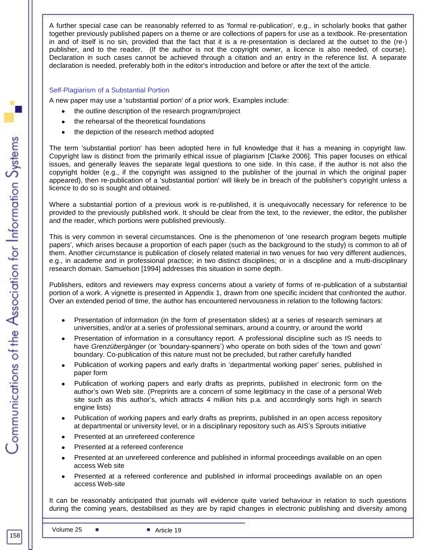A further special case can be reasonably referred to as 'formal re-publication', e.g., in scholarly books that gather together previously published papers on a theme or are collections of papers for use as a textbook. Re-presentation in and of itself is no sin, provided that the fact that it is a re-presentation is declared at the outset to the (re-) publisher, and to the reader. (If the author is not the copyright owner, a licence is also needed, of course). Declaration in such cases cannot be achieved through a citation and an entry in the reference list. A separate declaration is needed, preferably both in the editor's introduction and before or after the text of the article.

### Self-Plagiarism of a Substantial Portion

A new paper may use a 'substantial portion' of a prior work. Examples include:

- the outline description of the research program/project
- the rehearsal of the theoretical foundations
- the depiction of the research method adopted

The term 'substantial portion' has been adopted here in full knowledge that it has a meaning in copyright law. Copyright law is distinct from the primarily ethical issue of plagiarism [Clarke 2006]. This paper focuses on ethical issues, and generally leaves the separate legal questions to one side. In this case, if the author is not also the copyright holder (e.g., if the copyright was assigned to the publisher of the journal in which the original paper appeared), then re-publication of a 'substantial portion' will likely be in breach of the publisher's copyright unless a licence to do so is sought and obtained.

Where a substantial portion of a previous work is re-published, it is unequivocally necessary for reference to be provided to the previously published work. It should be clear from the text, to the reviewer, the editor, the publisher and the reader, which portions were published previously.

This is very common in several circumstances. One is the phenomenon of 'one research program begets multiple papers', which arises because a proportion of each paper (such as the background to the study) is common to all of them. Another circumstance is publication of closely related material in two venues for two very different audiences, e.g., in academe and in professional practice; in two distinct disciplines; or in a discipline and a multi-disciplinary research domain. Samuelson [1994] addresses this situation in some depth.

Publishers, editors and reviewers may express concerns about a variety of forms of re-publication of a substantial portion of a work. A vignette is presented in Appendix 1, drawn from one specific incident that confronted the author. Over an extended period of time, the author has encountered nervousness in relation to the following factors:

- Presentation of information (in the form of presentation slides) at a series of research seminars at universities, and/or at a series of professional seminars, around a country, or around the world
- Presentation of information in a consultancy report. A professional discipline such as IS needs to have *Grenzübergänger* (or "boundary-spanners") who operate on both sides of the "town and gown" boundary. Co-publication of this nature must not be precluded, but rather carefully handled
- Publication of working papers and early drafts in "departmental working paper" series, published in paper form
- Publication of working papers and early drafts as preprints, published in electronic form on the author"s own Web site. (Preprints are a concern of some legitimacy in the case of a personal Web site such as this author"s, which attracts 4 million hits p.a. and accordingly sorts high in search engine lists)
- Publication of working papers and early drafts as preprints, published in an open access repository at departmental or university level, or in a disciplinary repository such as AIS"s Sprouts initiative
- Presented at an unrefereed conference
- Presented at a refereed conference
- Presented at an unrefereed conference and published in informal proceedings available on an open  $\bullet$ access Web site
- Presented at a refereed conference and published in informal proceedings available on an open access Web-site

It can be reasonably anticipated that journals will evidence quite varied behaviour in relation to such questions during the coming years, destabilised as they are by rapid changes in electronic publishing and diversity among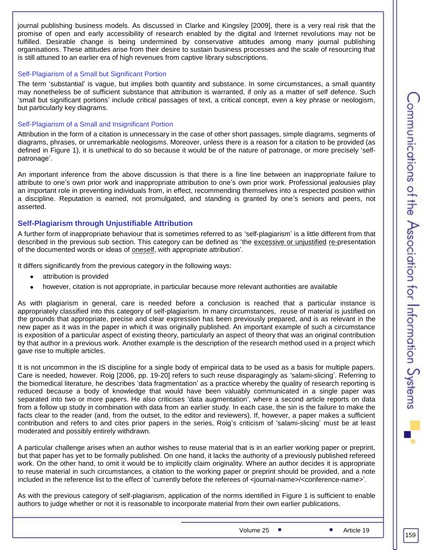journal publishing business models. As discussed in Clarke and Kingsley [2009], there is a very real risk that the promise of open and early accessibility of research enabled by the digital and Internet revolutions may not be fulfilled. Desirable change is being undermined by conservative attitudes among many journal publishing organisations. These attitudes arise from their desire to sustain business processes and the scale of resourcing that is still attuned to an earlier era of high revenues from captive library subscriptions.

### Self-Plagiarism of a Small but Significant Portion

The term "substantial" is vague, but implies both quantity and substance. In some circumstances, a small quantity may nonetheless be of sufficient substance that attribution is warranted, if only as a matter of self defence. Such "small but significant portions" include critical passages of text, a critical concept, even a key phrase or neologism, but particularly key diagrams.

### Self-Plagiarism of a Small and Insignificant Portion

Attribution in the form of a citation is unnecessary in the case of other short passages, simple diagrams, segments of diagrams, phrases, or unremarkable neologisms. Moreover, unless there is a reason for a citation to be provided (as defined in Figure 1), it is unethical to do so because it would be of the nature of patronage, or more precisely "selfpatronage'.

An important inference from the above discussion is that there is a fine line between an inappropriate failure to attribute to one"s own prior work and inappropriate attribution to one"s own prior work. Professional jealousies play an important role in preventing individuals from, in effect, recommending themselves into a respected position within a discipline. Reputation is earned, not promulgated, and standing is granted by one"s seniors and peers, not asserted.

### **Self-Plagiarism through Unjustifiable Attribution**

A further form of inappropriate behaviour that is sometimes referred to as "self-plagiarism" is a little different from that described in the previous sub section. This category can be defined as 'the excessive or unjustified re-presentation of the documented words or ideas of oneself, with appropriate attribution".

It differs significantly from the previous category in the following ways:

- attribution is provided  $\bullet$
- however, citation is not appropriate, in particular because more relevant authorities are available  $\bullet$

As with plagiarism in general, care is needed before a conclusion is reached that a particular instance is appropriately classified into this category of self-plagiarism. In many circumstances, reuse of material is justified on the grounds that appropriate, precise and clear expression has been previously prepared, and is as relevant in the new paper as it was in the paper in which it was originally published. An important example of such a circumstance is exposition of a particular aspect of existing theory, particularly an aspect of theory that was an original contribution by that author in a previous work. Another example is the description of the research method used in a project which gave rise to multiple articles.

It is not uncommon in the IS discipline for a single body of empirical data to be used as a basis for multiple papers. Care is needed, however. Roig [2006, pp. 19-20] refers to such reuse disparagingly as "salami-slicing". Referring to the biomedical literature, he describes "data fragmentation" as a practice whereby the quality of research reporting is reduced because a body of knowledge that would have been valuably communicated in a single paper was separated into two or more papers. He also criticises "data augmentation", where a second article reports on data from a follow up study in combination with data from an earlier study. In each case, the sin is the failure to make the facts clear to the reader (and, from the outset, to the editor and reviewers). If, however, a paper makes a sufficient contribution and refers to and cites prior papers in the series, Roig"s criticism of "salami-slicing" must be at least moderated and possibly entirely withdrawn.

A particular challenge arises when an author wishes to reuse material that is in an earlier working paper or preprint, but that paper has yet to be formally published. On one hand, it lacks the authority of a previously published refereed work. On the other hand, to omit it would be to implicitly claim originality. Where an author decides it is appropriate to reuse material in such circumstances, a citation to the working paper or preprint should be provided, and a note included in the reference list to the effect of "currently before the referees of <journal-name>/<conference-name>".

As with the previous category of self-plagiarism, application of the norms identified in Figure 1 is sufficient to enable authors to judge whether or not it is reasonable to incorporate material from their own earlier publications.

Volume 25 **Article 19**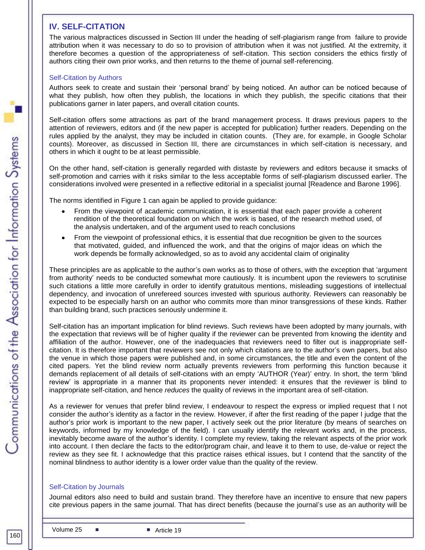# **IV. SELF-CITATION**

The various malpractices discussed in Section III under the heading of self-plagiarism range from failure to provide attribution when it was necessary to do so to provision of attribution when it was not justified. At the extremity, it therefore becomes a question of the appropriateness of self-citation. This section considers the ethics firstly of authors citing their own prior works, and then returns to the theme of journal self-referencing.

### Self-Citation by Authors

Authors seek to create and sustain their "personal brand" by being noticed. An author can be noticed because of what they publish, how often they publish, the locations in which they publish, the specific citations that their publications garner in later papers, and overall citation counts.

Self-citation offers some attractions as part of the brand management process. It draws previous papers to the attention of reviewers, editors and (if the new paper is accepted for publication) further readers. Depending on the rules applied by the analyst, they may be included in citation counts. (They are, for example, in Google Scholar counts). Moreover, as discussed in Section III, there are circumstances in which self-citation is necessary, and others in which it ought to be at least permissible.

On the other hand, self-citation is generally regarded with distaste by reviewers and editors because it smacks of self-promotion and carries with it risks similar to the less acceptable forms of self-plagiarism discussed earlier. The considerations involved were presented in a reflective editorial in a specialist journal [Readence and Barone 1996].

The norms identified in Figure 1 can again be applied to provide guidance:

- From the viewpoint of academic communication, it is essential that each paper provide a coherent rendition of the theoretical foundation on which the work is based, of the research method used, of the analysis undertaken, and of the argument used to reach conclusions
- From the viewpoint of professional ethics, it is essential that due recognition be given to the sources that motivated, guided, and influenced the work, and that the origins of major ideas on which the work depends be formally acknowledged, so as to avoid any accidental claim of originality

These principles are as applicable to the author"s own works as to those of others, with the exception that "argument from authority" needs to be conducted somewhat more cautiously. It is incumbent upon the reviewers to scrutinise such citations a little more carefully in order to identify gratuitous mentions, misleading suggestions of intellectual dependency, and invocation of unrefereed sources invested with spurious authority. Reviewers can reasonably be expected to be especially harsh on an author who commits more than minor transgressions of these kinds. Rather than building brand, such practices seriously undermine it.

Self-citation has an important implication for blind reviews. Such reviews have been adopted by many journals, with the expectation that reviews will be of higher quality if the reviewer can be prevented from knowing the identity and affiliation of the author. However, one of the inadequacies that reviewers need to filter out is inappropriate selfcitation. It is therefore important that reviewers see not only which citations are to the author"s own papers, but also the venue in which those papers were published and, in some circumstances, the title and even the content of the cited papers. Yet the blind review norm actually prevents reviewers from performing this function because it demands replacement of all details of self-citations with an empty "AUTHOR (Year)" entry. In short, the term "blind review" is appropriate in a manner that its proponents never intended: it ensures that the reviewer is blind to inappropriate self-citation, and hence *reduces* the quality of reviews in the important area of self-citation.

As a reviewer for venues that prefer blind review, I endeavour to respect the express or implied request that I not consider the author"s identity as a factor in the review. However, if after the first reading of the paper I judge that the author"s prior work is important to the new paper, I actively seek out the prior literature (by means of searches on keywords, informed by my knowledge of the field). I can usually identify the relevant works and, in the process, inevitably become aware of the author"s identity. I complete my review, taking the relevant aspects of the prior work into account. I then declare the facts to the editor/program chair, and leave it to them to use, de-value or reject the review as they see fit. I acknowledge that this practice raises ethical issues, but I contend that the sanctity of the nominal blindness to author identity is a lower order value than the quality of the review.

### Self-Citation by Journals

Journal editors also need to build and sustain brand. They therefore have an incentive to ensure that new papers cite previous papers in the same journal. That has direct benefits (because the journal"s use as an authority will be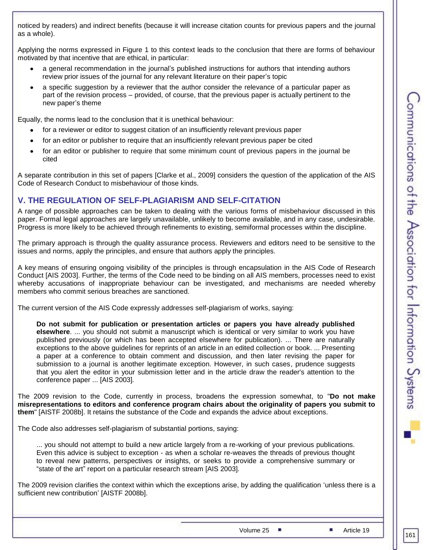noticed by readers) and indirect benefits (because it will increase citation counts for previous papers and the journal as a whole).

Applying the norms expressed in Figure 1 to this context leads to the conclusion that there are forms of behaviour motivated by that incentive that are ethical, in particular:

- a general recommendation in the journal"s published instructions for authors that intending authors review prior issues of the journal for any relevant literature on their paper"s topic
- a specific suggestion by a reviewer that the author consider the relevance of a particular paper as part of the revision process – provided, of course, that the previous paper is actually pertinent to the new paper"s theme

Equally, the norms lead to the conclusion that it is unethical behaviour:

- for a reviewer or editor to suggest citation of an insufficiently relevant previous paper
- for an editor or publisher to require that an insufficiently relevant previous paper be cited  $\bullet$
- for an editor or publisher to require that some minimum count of previous papers in the journal be  $\bullet$ cited

A separate contribution in this set of papers [Clarke et al., 2009] considers the question of the application of the AIS Code of Research Conduct to misbehaviour of those kinds.

# **V. THE REGULATION OF SELF-PLAGIARISM AND SELF-CITATION**

A range of possible approaches can be taken to dealing with the various forms of misbehaviour discussed in this paper. Formal legal approaches are largely unavailable, unlikely to become available, and in any case, undesirable. Progress is more likely to be achieved through refinements to existing, semiformal processes within the discipline.

The primary approach is through the quality assurance process. Reviewers and editors need to be sensitive to the issues and norms, apply the principles, and ensure that authors apply the principles.

A key means of ensuring ongoing visibility of the principles is through encapsulation in the AIS Code of Research Conduct [AIS 2003]. Further, the terms of the Code need to be binding on all AIS members, processes need to exist whereby accusations of inappropriate behaviour can be investigated, and mechanisms are needed whereby members who commit serious breaches are sanctioned.

The current version of the AIS Code expressly addresses self-plagiarism of works, saying:

**Do not submit for publication or presentation articles or papers you have already published elsewhere**. ... you should not submit a manuscript which is identical or very similar to work you have published previously (or which has been accepted elsewhere for publication). ... There are naturally exceptions to the above guidelines for reprints of an article in an edited collection or book. ... Presenting a paper at a conference to obtain comment and discussion, and then later revising the paper for submission to a journal is another legitimate exception. However, in such cases, prudence suggests that you alert the editor in your submission letter and in the article draw the reader's attention to the conference paper ... [AIS 2003]*.*

The 2009 revision to the Code, currently in process, broadens the expression somewhat, to "**Do not make misrepresentations to editors and conference program chairs about the originality of papers you submit to them**" [AISTF 2008b]. It retains the substance of the Code and expands the advice about exceptions.

The Code also addresses self-plagiarism of substantial portions, saying:

... you should not attempt to build a new article largely from a re-working of your previous publications. Even this advice is subject to exception - as when a scholar re-weaves the threads of previous thought to reveal new patterns, perspectives or insights, or seeks to provide a comprehensive summary or "state of the art" report on a particular research stream [AIS 2003]*.*

The 2009 revision clarifies the context within which the exceptions arise, by adding the qualification "unless there is a sufficient new contribution" [AISTF 2008b].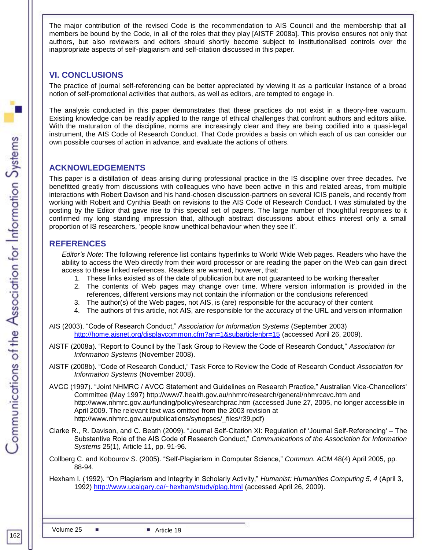The major contribution of the revised Code is the recommendation to AIS Council and the membership that all members be bound by the Code, in all of the roles that they play [AISTF 2008a]. This proviso ensures not only that authors, but also reviewers and editors should shortly become subject to institutionalised controls over the inappropriate aspects of self-plagiarism and self-citation discussed in this paper.

# **VI. CONCLUSIONS**

The practice of journal self-referencing can be better appreciated by viewing it as a particular instance of a broad notion of self-promotional activities that authors, as well as editors, are tempted to engage in.

The analysis conducted in this paper demonstrates that these practices do not exist in a theory-free vacuum. Existing knowledge can be readily applied to the range of ethical challenges that confront authors and editors alike. With the maturation of the discipline, norms are increasingly clear and they are being codified into a quasi-legal instrument, the AIS Code of Research Conduct. That Code provides a basis on which each of us can consider our own possible courses of action in advance, and evaluate the actions of others.

# **ACKNOWLEDGEMENTS**

This paper is a distillation of ideas arising during professional practice in the IS discipline over three decades. I've benefitted greatly from discussions with colleagues who have been active in this and related areas, from multiple interactions with Robert Davison and his hand-chosen discussion-partners on several ICIS panels, and recently from working with Robert and Cynthia Beath on revisions to the AIS Code of Research Conduct. I was stimulated by the posting by the Editor that gave rise to this special set of papers. The large number of thoughtful responses to it confirmed my long standing impression that, although abstract discussions about ethics interest only a small proportion of IS researchers, "people know unethical behaviour when they see it".

# **REFERENCES**

*Editor's Note*: The following reference list contains hyperlinks to World Wide Web pages. Readers who have the ability to access the Web directly from their word processor or are reading the paper on the Web can gain direct access to these linked references. Readers are warned, however, that:

- 1. These links existed as of the date of publication but are not guaranteed to be working thereafter
- 2. The contents of Web pages may change over time. Where version information is provided in the references, different versions may not contain the information or the conclusions referenced
- 3. The author(s) of the Web pages, not AIS, is (are) responsible for the accuracy of their content
- 4. The authors of this article, not AIS, are responsible for the accuracy of the URL and version information

AIS (2003). "Code of Research Conduct," *Association for Information Systems* (September 2003) <http://home.aisnet.org/displaycommon.cfm?an=1&subarticlenbr=15> (accessed April 26, 2009).

- AISTF (2008a). "Report to Council by the Task Group to Review the Code of Research Conduct," *Association for Information Systems* (November 2008).
- AISTF (2008b). "Code of Research Conduct," Task Force to Review the Code of Research Conduct *Association for Information Systems* (November 2008).
- AVCC (1997). "Joint NHMRC / AVCC Statement and Guidelines on Research Practice," Australian Vice-Chancellors' Committee (May 1997) http://www7.health.gov.au/nhmrc/research/general/nhmrcavc.htm and http://www.nhmrc.gov.au/funding/policy/researchprac.htm (accessed June 27, 2005, no longer accessible in April 2009. The relevant text was omitted from the 2003 revision at http://www.nhmrc.gov.au/publications/synopses/\_files/r39.pdf)
- Clarke R., R. Davison, and C. Beath (2009). "Journal Self-Citation XI: Regulation of "Journal Self-Referencing' The Substantive Role of the AIS Code of Research Conduct," *Communications of the Association for Information Systems* 25(1), Article 11, pp. 91-96.
- Collberg C. and Kobourov S. (2005). "Self-Plagiarism in Computer Science," *Commun. ACM* 48(4) April 2005, pp. 88-94.
- Hexham I. (1992). "On Plagiarism and Integrity in Scholarly Activity," *Humanist: Humanities Computing 5, 4* (April 3, 1992)<http://www.ucalgary.ca/~hexham/study/plag.html> (accessed April 26, 2009).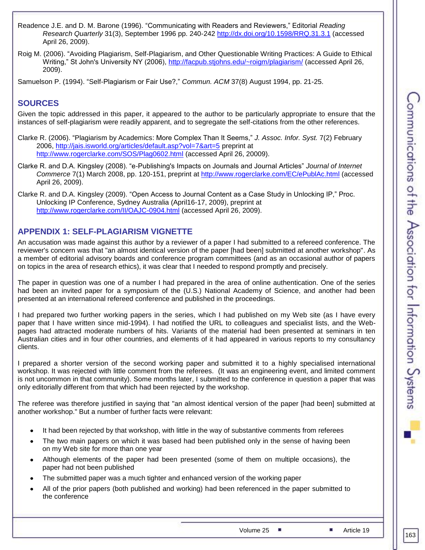- Readence J.E. and D. M. Barone (1996). "Communicating with Readers and Reviewers," Editorial *Reading Research Quarterly* 31(3), September 1996 pp. 240-24[2 http://dx.doi.org/10.1598/RRQ.31.3.1](http://dx.doi.org/10.1598/RRQ.31.3.1) (accessed April 26, 2009).
- Roig M. (2006). "Avoiding Plagiarism, Self-Plagiarism, and Other Questionable Writing Practices: A Guide to Ethical Writing," St John's University NY (2006), <http://facpub.stjohns.edu/~roigm/plagiarism/> (accessed April 26, 2009).

Samuelson P. (1994). "Self-Plagiarism or Fair Use?," *Commun. ACM* 37(8) August 1994, pp. 21-25.

# **SOURCES**

Given the topic addressed in this paper, it appeared to the author to be particularly appropriate to ensure that the instances of self-plagiarism were readily apparent, and to segregate the self-citations from the other references.

Clarke R. (2006). "Plagiarism by Academics: More Complex Than It Seems," *J. Assoc. Infor. Syst.* 7(2) February 2006,<http://jais.isworld.org/articles/default.asp?vol=7&art=5> preprint at <http://www.rogerclarke.com/SOS/Plag0602.html> (accessed April 26, 20009).

Clarke R. and D.A. Kingsley (2008). "e-Publishing's Impacts on Journals and Journal Articles" *Journal of Internet Commerce* 7(1) March 2008, pp. 120-151, preprint at<http://www.rogerclarke.com/EC/ePublAc.html> (accessed April 26, 2009).

Clarke R. and D.A. Kingsley (2009). "Open Access to Journal Content as a Case Study in Unlocking IP," Proc. Unlocking IP Conference, Sydney Australia (April16-17, 2009), preprint at <http://www.rogerclarke.com/II/OAJC-0904.html> (accessed April 26, 2009).

# **APPENDIX 1: SELF-PLAGIARISM VIGNETTE**

An accusation was made against this author by a reviewer of a paper I had submitted to a refereed conference. The reviewer's concern was that "an almost identical version of the paper [had been] submitted at another workshop". As a member of editorial advisory boards and conference program committees (and as an occasional author of papers on topics in the area of research ethics), it was clear that I needed to respond promptly and precisely.

The paper in question was one of a number I had prepared in the area of online authentication. One of the series had been an invited paper for a symposium of the (U.S.) National Academy of Science, and another had been presented at an international refereed conference and published in the proceedings.

I had prepared two further working papers in the series, which I had published on my Web site (as I have every paper that I have written since mid-1994). I had notified the URL to colleagues and specialist lists, and the Webpages had attracted moderate numbers of hits. Variants of the material had been presented at seminars in ten Australian cities and in four other countries, and elements of it had appeared in various reports to my consultancy clients.

I prepared a shorter version of the second working paper and submitted it to a highly specialised international workshop. It was rejected with little comment from the referees. (It was an engineering event, and limited comment is not uncommon in that community). Some months later, I submitted to the conference in question a paper that was only editorially different from that which had been rejected by the workshop.

The referee was therefore justified in saying that "an almost identical version of the paper [had been] submitted at another workshop." But a number of further facts were relevant:

- It had been rejected by that workshop, with little in the way of substantive comments from referees
- The two main papers on which it was based had been published only in the sense of having been  $\bullet$ on my Web site for more than one year
- Although elements of the paper had been presented (some of them on multiple occasions), the  $\bullet$ paper had not been published
- The submitted paper was a much tighter and enhanced version of the working paper
- All of the prior papers (both published and working) had been referenced in the paper submitted to  $\bullet$ the conference

Volume 25 **Article 19**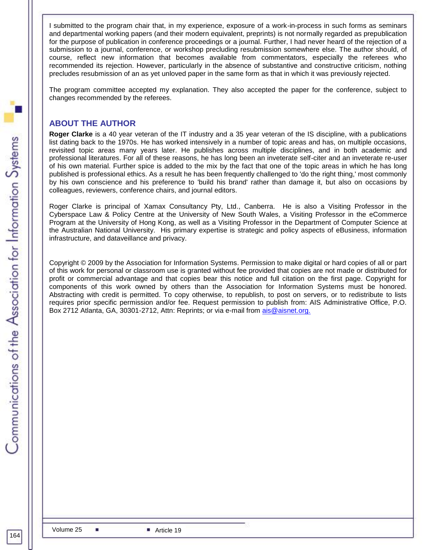I submitted to the program chair that, in my experience, exposure of a work-in-process in such forms as seminars and departmental working papers (and their modern equivalent, preprints) is not normally regarded as prepublication for the purpose of publication in conference proceedings or a journal. Further, I had never heard of the rejection of a submission to a journal, conference, or workshop precluding resubmission somewhere else. The author should, of course, reflect new information that becomes available from commentators, especially the referees who recommended its rejection. However, particularly in the absence of substantive and constructive criticism, nothing precludes resubmission of an as yet unloved paper in the same form as that in which it was previously rejected.

The program committee accepted my explanation. They also accepted the paper for the conference, subject to changes recommended by the referees.

# **ABOUT THE AUTHOR**

**Roger Clarke** is a 40 year veteran of the IT industry and a 35 year veteran of the IS discipline, with a publications list dating back to the 1970s. He has worked intensively in a number of topic areas and has, on multiple occasions, revisited topic areas many years later. He publishes across multiple disciplines, and in both academic and professional literatures. For all of these reasons, he has long been an inveterate self-citer and an inveterate re-user of his own material. Further spice is added to the mix by the fact that one of the topic areas in which he has long published is professional ethics. As a result he has been frequently challenged to 'do the right thing,' most commonly by his own conscience and his preference to 'build his brand' rather than damage it, but also on occasions by colleagues, reviewers, conference chairs, and journal editors.

Roger Clarke is principal of [Xamax Consultancy Pty, Ltd.](http://www.xamax.com.au/), Canberra. He is also a Visiting Professor in the [Cyberspace Law & Policy Centre](http://www.bakercyberlawcentre.org/) at the University of New South Wales, a Visiting Professor in the [eCommerce](http://www.ecom-icom.hku.hk/)  [Program](http://www.ecom-icom.hku.hk/) at the [University of Hong Kong,](http://www.hku.hk/) as well as a Visiting Professor in the [Department of Computer Science](http://cs.anu.edu.au/) at the [Australian National University.](http://www.anu.edu.au/) His primary expertise is strategic and policy aspects of eBusiness, information infrastructure, and dataveillance and privacy.

Copyright © 2009 by the Association for Information Systems. Permission to make digital or hard copies of all or part of this work for personal or classroom use is granted without fee provided that copies are not made or distributed for profit or commercial advantage and that copies bear this notice and full citation on the first page. Copyright for components of this work owned by others than the Association for Information Systems must be honored. Abstracting with credit is permitted. To copy otherwise, to republish, to post on servers, or to redistribute to lists requires prior specific permission and/or fee. Request permission to publish from: AIS Administrative Office, P.O. Box 2712 Atlanta, GA, 30301-2712, Attn: Reprints; or via e-mail from [ais@aisnet.org.](mailto:ais@gsu.edu)

164